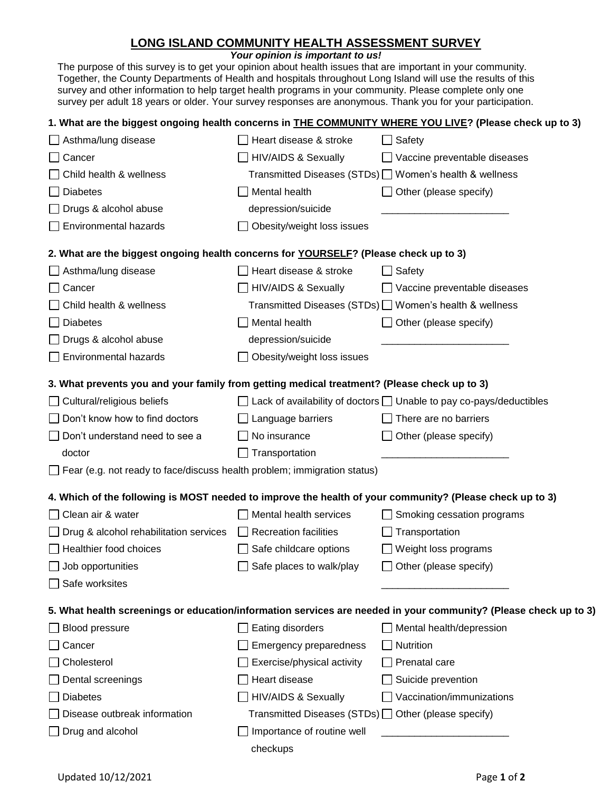## **LONG ISLAND COMMUNITY HEALTH ASSESSMENT SURVEY**

*Your opinion is important to us!*

The purpose of this survey is to get your opinion about health issues that are important in your community. Together, the County Departments of Health and hospitals throughout Long Island will use the results of this survey and other information to help target health programs in your community. Please complete only one survey per adult 18 years or older. Your survey responses are anonymous. Thank you for your participation.

|                                                                                                          |                                                           | 1. What are the biggest ongoing health concerns in <b>THE COMMUNITY WHERE YOU LIVE?</b> (Please check up to 3)   |  |
|----------------------------------------------------------------------------------------------------------|-----------------------------------------------------------|------------------------------------------------------------------------------------------------------------------|--|
| $\Box$ Asthma/lung disease                                                                               | Heart disease & stroke                                    | $\Box$ Safety                                                                                                    |  |
| Cancer                                                                                                   | <b>HIV/AIDS &amp; Sexually</b>                            | Vaccine preventable diseases                                                                                     |  |
| Child health & wellness                                                                                  |                                                           | Transmitted Diseases (STDs) □ Women's health & wellness                                                          |  |
| <b>Diabetes</b>                                                                                          | Mental health                                             | $\Box$ Other (please specify)                                                                                    |  |
| Drugs & alcohol abuse                                                                                    | depression/suicide                                        |                                                                                                                  |  |
| <b>Environmental hazards</b>                                                                             | Obesity/weight loss issues                                |                                                                                                                  |  |
| 2. What are the biggest ongoing health concerns for YOURSELF? (Please check up to 3)                     |                                                           |                                                                                                                  |  |
| Asthma/lung disease                                                                                      | Heart disease & stroke                                    | Safety                                                                                                           |  |
| Cancer                                                                                                   | <b>HIV/AIDS &amp; Sexually</b>                            | Vaccine preventable diseases                                                                                     |  |
| Child health & wellness                                                                                  |                                                           | Transmitted Diseases (STDs) □ Women's health & wellness                                                          |  |
| <b>Diabetes</b>                                                                                          | Mental health                                             | Other (please specify)                                                                                           |  |
| Drugs & alcohol abuse                                                                                    | depression/suicide                                        |                                                                                                                  |  |
| Environmental hazards                                                                                    | Obesity/weight loss issues                                |                                                                                                                  |  |
| 3. What prevents you and your family from getting medical treatment? (Please check up to 3)              |                                                           |                                                                                                                  |  |
| $\Box$ Cultural/religious beliefs                                                                        |                                                           | $\Box$ Lack of availability of doctors $\Box$ Unable to pay co-pays/deductibles                                  |  |
| $\Box$ Don't know how to find doctors                                                                    | Language barriers                                         | There are no barriers                                                                                            |  |
| $\Box$ Don't understand need to see a                                                                    | No insurance                                              | Other (please specify)                                                                                           |  |
| doctor                                                                                                   | Transportation                                            |                                                                                                                  |  |
| $\Box$ Fear (e.g. not ready to face/discuss health problem; immigration status)                          |                                                           |                                                                                                                  |  |
| 4. Which of the following is MOST needed to improve the health of your community? (Please check up to 3) |                                                           |                                                                                                                  |  |
| □ Clean air & water                                                                                      | Mental health services                                    | Smoking cessation programs                                                                                       |  |
| $\Box$ Drug & alcohol rehabilitation services                                                            | $\Box$ Recreation facilities                              | Transportation                                                                                                   |  |
| $\Box$ Healthier food choices                                                                            | $\Box$ Safe childcare options                             | $\Box$ Weight loss programs                                                                                      |  |
| $\Box$ Job opportunities                                                                                 | Safe places to walk/play                                  | □ Other (please specify)                                                                                         |  |
| □ Safe worksites                                                                                         |                                                           |                                                                                                                  |  |
|                                                                                                          |                                                           | 5. What health screenings or education/information services are needed in your community? (Please check up to 3) |  |
| <b>Blood pressure</b>                                                                                    | Eating disorders                                          | Mental health/depression                                                                                         |  |
| Cancer                                                                                                   | <b>Emergency preparedness</b>                             | Nutrition                                                                                                        |  |
| Cholesterol                                                                                              | Exercise/physical activity                                | Prenatal care                                                                                                    |  |
| Dental screenings                                                                                        | Heart disease                                             | Suicide prevention                                                                                               |  |
| <b>Diabetes</b>                                                                                          | <b>HIV/AIDS &amp; Sexually</b>                            | Vaccination/immunizations                                                                                        |  |
| Disease outbreak information                                                                             | Transmitted Diseases (STDs) $\Box$ Other (please specify) |                                                                                                                  |  |
| Drug and alcohol                                                                                         | Importance of routine well                                |                                                                                                                  |  |
|                                                                                                          | checkups                                                  |                                                                                                                  |  |